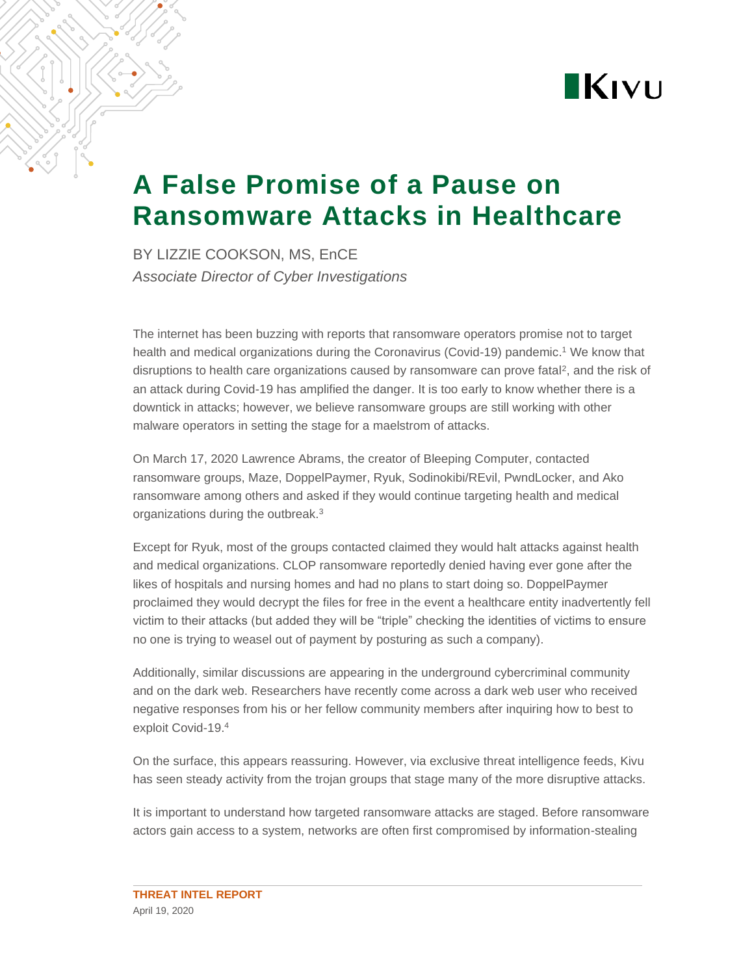

# **A False Promise of a Pause on Ransomware Attacks in Healthcare**

BY LIZZIE COOKSON, MS, EnCE *Associate Director of Cyber Investigations*

The internet has been buzzing with reports that ransomware operators promise not to target health and medical organizations during the Coronavirus (Covid-19) pandemic. <sup>1</sup> We know that disruptions to health care organizations caused by ransomware can prove fatal<sup>2</sup>, and the risk of an attack during Covid-19 has amplified the danger. It is too early to know whether there is a downtick in attacks; however, we believe ransomware groups are still working with other malware operators in setting the stage for a maelstrom of attacks.

On March 17, 2020 Lawrence Abrams, the creator of Bleeping Computer, contacted ransomware groups, Maze, DoppelPaymer, Ryuk, Sodinokibi/REvil, PwndLocker, and Ako ransomware among others and asked if they would continue targeting health and medical organizations during the outbreak.<sup>3</sup>

Except for Ryuk, most of the groups contacted claimed they would halt attacks against health and medical organizations. CLOP ransomware reportedly denied having ever gone after the likes of hospitals and nursing homes and had no plans to start doing so. DoppelPaymer proclaimed they would decrypt the files for free in the event a healthcare entity inadvertently fell victim to their attacks (but added they will be "triple" checking the identities of victims to ensure no one is trying to weasel out of payment by posturing as such a company).

Additionally, similar discussions are appearing in the underground cybercriminal community and on the dark web. Researchers have recently come across a dark web user who received negative responses from his or her fellow community members after inquiring how to best to exploit Covid-19.<sup>4</sup>

On the surface, this appears reassuring. However, via exclusive threat intelligence feeds, Kivu has seen steady activity from the trojan groups that stage many of the more disruptive attacks.

It is important to understand how targeted ransomware attacks are staged. Before ransomware actors gain access to a system, networks are often first compromised by information-stealing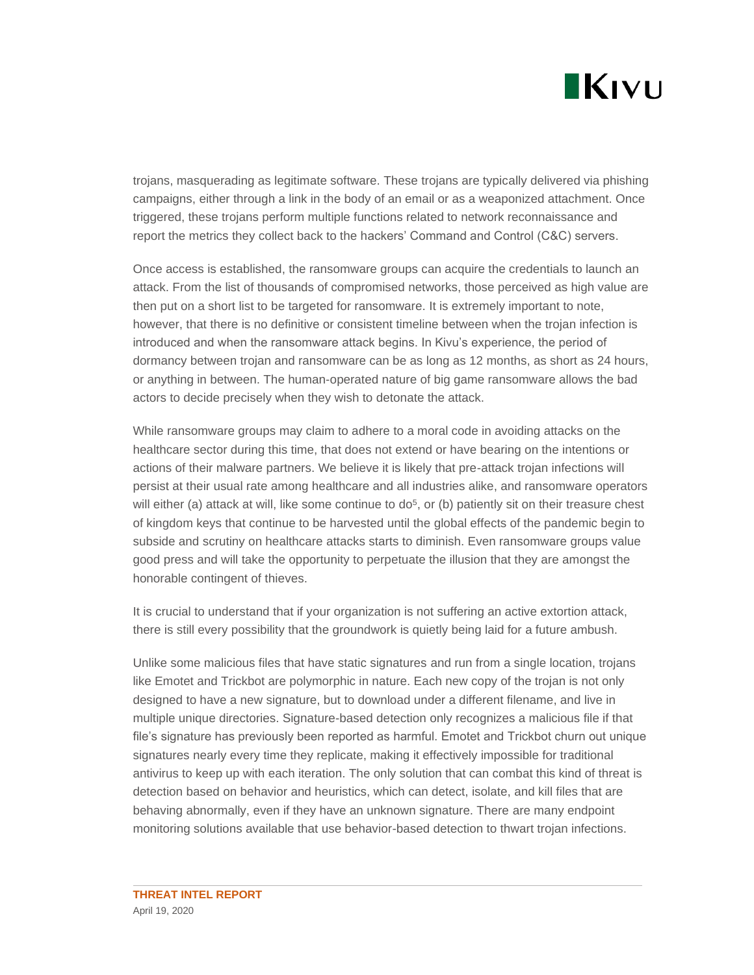

trojans, masquerading as legitimate software. These trojans are typically delivered via phishing campaigns, either through a link in the body of an email or as a weaponized attachment. Once triggered, these trojans perform multiple functions related to network reconnaissance and report the metrics they collect back to the hackers' Command and Control (C&C) servers.

Once access is established, the ransomware groups can acquire the credentials to launch an attack. From the list of thousands of compromised networks, those perceived as high value are then put on a short list to be targeted for ransomware. It is extremely important to note, however, that there is no definitive or consistent timeline between when the trojan infection is introduced and when the ransomware attack begins. In Kivu's experience, the period of dormancy between trojan and ransomware can be as long as 12 months, as short as 24 hours, or anything in between. The human-operated nature of big game ransomware allows the bad actors to decide precisely when they wish to detonate the attack.

While ransomware groups may claim to adhere to a moral code in avoiding attacks on the healthcare sector during this time, that does not extend or have bearing on the intentions or actions of their malware partners. We believe it is likely that pre-attack trojan infections will persist at their usual rate among healthcare and all industries alike, and ransomware operators will either (a) attack at will, like some continue to  $d\sigma^5$ , or (b) patiently sit on their treasure chest of kingdom keys that continue to be harvested until the global effects of the pandemic begin to subside and scrutiny on healthcare attacks starts to diminish. Even ransomware groups value good press and will take the opportunity to perpetuate the illusion that they are amongst the honorable contingent of thieves.

It is crucial to understand that if your organization is not suffering an active extortion attack, there is still every possibility that the groundwork is quietly being laid for a future ambush.

Unlike some malicious files that have static signatures and run from a single location, trojans like Emotet and Trickbot are polymorphic in nature. Each new copy of the trojan is not only designed to have a new signature, but to download under a different filename, and live in multiple unique directories. Signature-based detection only recognizes a malicious file if that file's signature has previously been reported as harmful. Emotet and Trickbot churn out unique signatures nearly every time they replicate, making it effectively impossible for traditional antivirus to keep up with each iteration. The only solution that can combat this kind of threat is detection based on behavior and heuristics, which can detect, isolate, and kill files that are behaving abnormally, even if they have an unknown signature. There are many endpoint monitoring solutions available that use behavior-based detection to thwart trojan infections.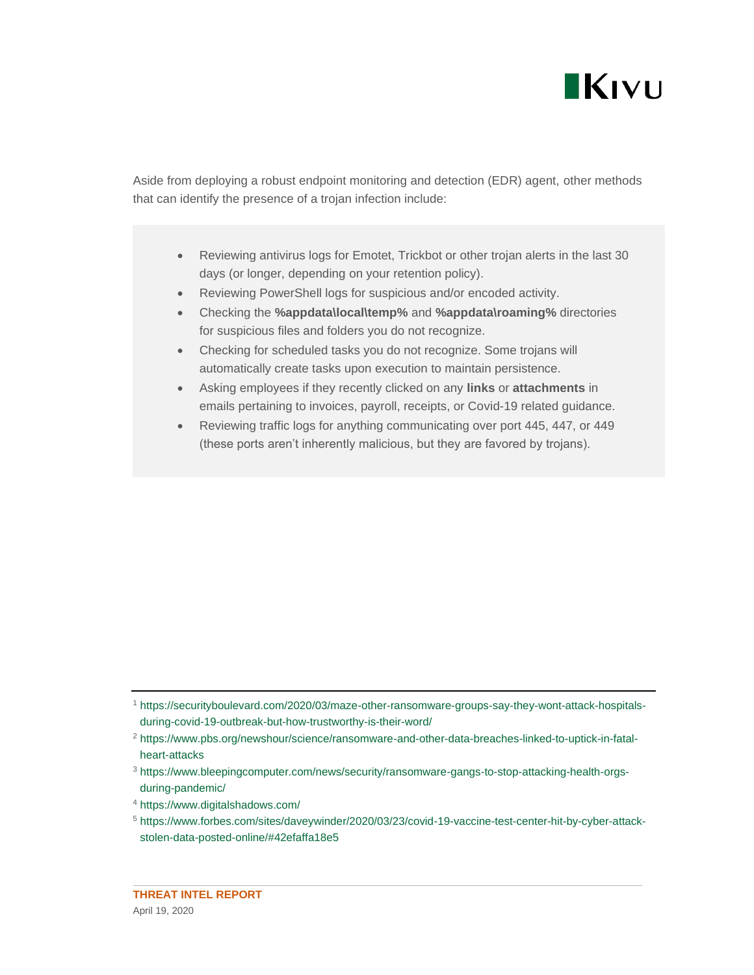

Aside from deploying a robust endpoint monitoring and detection (EDR) agent, other methods that can identify the presence of a trojan infection include:

- Reviewing antivirus logs for Emotet, Trickbot or other trojan alerts in the last 30 days (or longer, depending on your retention policy).
- Reviewing PowerShell logs for suspicious and/or encoded activity.
- Checking the **%appdata\local\temp%** and **%appdata\roaming%** directories for suspicious files and folders you do not recognize.
- Checking for scheduled tasks you do not recognize. Some trojans will automatically create tasks upon execution to maintain persistence.
- Asking employees if they recently clicked on any **links** or **attachments** in emails pertaining to invoices, payroll, receipts, or Covid-19 related guidance.
- Reviewing traffic logs for anything communicating over port 445, 447, or 449 (these ports aren't inherently malicious, but they are favored by trojans).

<sup>1</sup> [https://securityboulevard.com/2020/03/maze-other-ransomware-groups-say-they-wont-attack-hospitals](https://securityboulevard.com/2020/03/maze-other-ransomware-groups-say-they-wont-attack-hospitals-during-covid-19-outbreak-but-how-trustworthy-is-their-word/)[during-covid-19-outbreak-but-how-trustworthy-is-their-word/](https://securityboulevard.com/2020/03/maze-other-ransomware-groups-say-they-wont-attack-hospitals-during-covid-19-outbreak-but-how-trustworthy-is-their-word/)

<sup>2</sup> [https://www.pbs.org/newshour/science/ransomware-and-other-data-breaches-linked-to-uptick-in-fatal](https://www.pbs.org/newshour/science/ransomware-and-other-data-breaches-linked-to-uptick-in-fatal-heart-attacks)[heart-attacks](https://www.pbs.org/newshour/science/ransomware-and-other-data-breaches-linked-to-uptick-in-fatal-heart-attacks)

<sup>3</sup> [https://www.bleepingcomputer.com/news/security/ransomware-gangs-to-stop-attacking-health-orgs](https://www.bleepingcomputer.com/news/security/ransomware-gangs-to-stop-attacking-health-orgs-during-pandemic/)[during-pandemic/](https://www.bleepingcomputer.com/news/security/ransomware-gangs-to-stop-attacking-health-orgs-during-pandemic/)

<sup>4</sup> <https://www.digitalshadows.com/>

<sup>5</sup> [https://www.forbes.com/sites/daveywinder/2020/03/23/covid-19-vaccine-test-center-hit-by-cyber-attack](https://www.forbes.com/sites/daveywinder/2020/03/23/covid-19-vaccine-test-center-hit-by-cyber-attack-stolen-data-posted-online/#42efaffa18e5)[stolen-data-posted-online/#42efaffa18e5](https://www.forbes.com/sites/daveywinder/2020/03/23/covid-19-vaccine-test-center-hit-by-cyber-attack-stolen-data-posted-online/#42efaffa18e5)